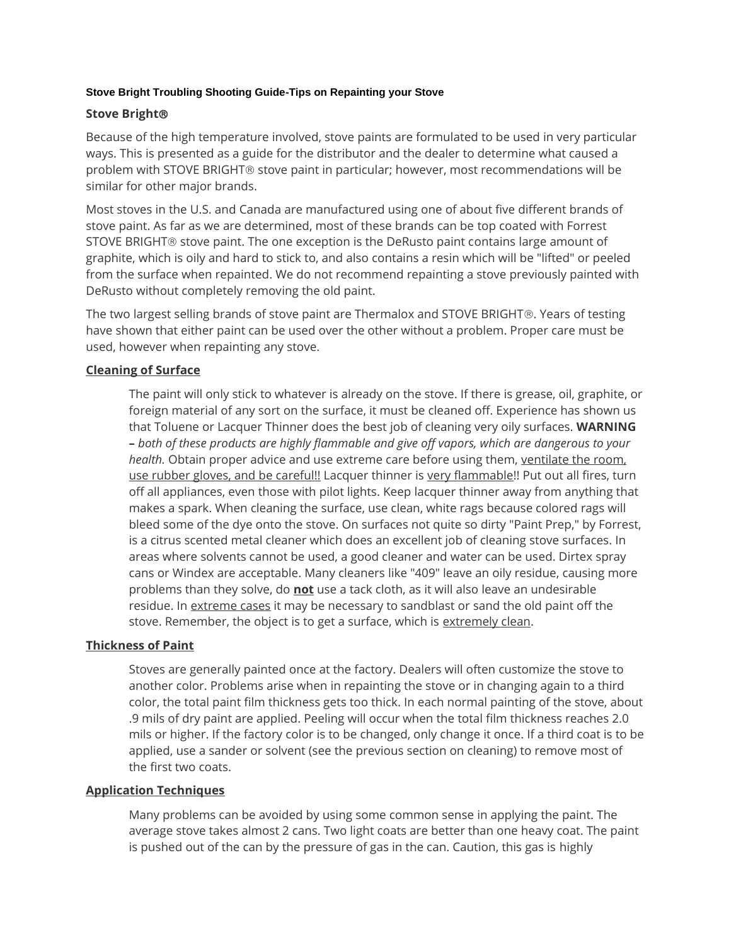### **Stove Bright Troubling Shooting Guide-Tips on Repainting your Stove**

## **Stove Bright**

Because of the high temperature involved, stove paints are formulated to be used in very particular ways. This is presented as a guide for the distributor and the dealer to determine what caused a problem with STOVE BRIGHT® stove paint in particular; however, most recommendations will be similar for other major brands.

Most stoves in the U.S. and Canada are manufactured using one of about five different brands of stove paint. As far as we are determined, most of these brands can be top coated with Forrest STOVE BRIGHT® stove paint. The one exception is the DeRusto paint contains large amount of graphite, which is oily and hard to stick to, and also contains a resin which will be "lifted" or peeled from the surface when repainted. We do not recommend repainting a stove previously painted with DeRusto without completely removing the old paint.

The two largest selling brands of stove paint are Thermalox and STOVE BRIGHT®. Years of testing have shown that either paint can be used over the other without a problem. Proper care must be used, however when repainting any stove.

# **Cleaning of Surface**

The paint will only stick to whatever is already on the stove. If there is grease, oil, graphite, or foreign material of any sort on the surface, it must be cleaned off. Experience has shown us that Toluene or Lacquer Thinner does the best job of cleaning very oily surfaces. **WARNING –** *both of these products are highly flammable and give off vapors, which are dangerous to your health.* Obtain proper advice and use extreme care before using them, ventilate the room, use rubber gloves, and be careful!! Lacquer thinner is very flammable!! Put out all fires, turn off all appliances, even those with pilot lights. Keep lacquer thinner away from anything that makes a spark. When cleaning the surface, use clean, white rags because colored rags will bleed some of the dye onto the stove. On surfaces not quite so dirty "Paint Prep," by Forrest, is a citrus scented metal cleaner which does an excellent job of cleaning stove surfaces. In areas where solvents cannot be used, a good cleaner and water can be used. Dirtex spray cans or Windex are acceptable. Many cleaners like "409" leave an oily residue, causing more problems than they solve, do **not** use a tack cloth, as it will also leave an undesirable residue. In extreme cases it may be necessary to sandblast or sand the old paint off the stove. Remember, the object is to get a surface, which is extremely clean.

## **Thickness of Paint**

Stoves are generally painted once at the factory. Dealers will often customize the stove to another color. Problems arise when in repainting the stove or in changing again to a third color, the total paint film thickness gets too thick. In each normal painting of the stove, about .9 mils of dry paint are applied. Peeling will occur when the total film thickness reaches 2.0 mils or higher. If the factory color is to be changed, only change it once. If a third coat is to be applied, use a sander or solvent (see the previous section on cleaning) to remove most of the first two coats.

## **Application Techniques**

Many problems can be avoided by using some common sense in applying the paint. The average stove takes almost 2 cans. Two light coats are better than one heavy coat. The paint is pushed out of the can by the pressure of gas in the can. Caution, this gas is highly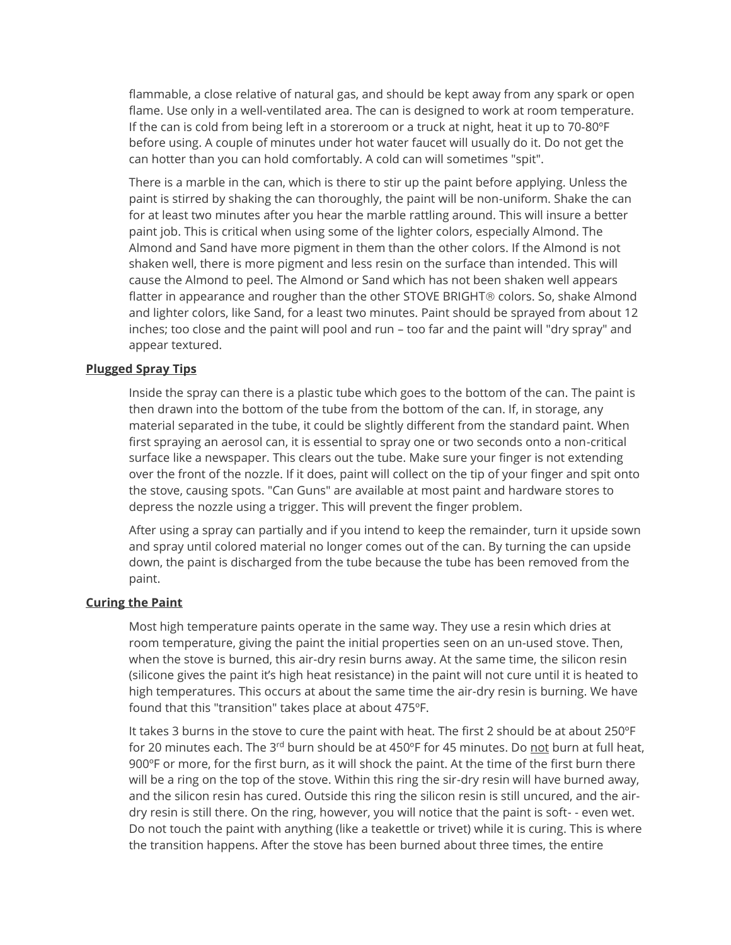flammable, a close relative of natural gas, and should be kept away from any spark or open flame. Use only in a well-ventilated area. The can is designed to work at room temperature. If the can is cold from being left in a storeroom or a truck at night, heat it up to 70-80ºF before using. A couple of minutes under hot water faucet will usually do it. Do not get the can hotter than you can hold comfortably. A cold can will sometimes "spit".

There is a marble in the can, which is there to stir up the paint before applying. Unless the paint is stirred by shaking the can thoroughly, the paint will be non-uniform. Shake the can for at least two minutes after you hear the marble rattling around. This will insure a better paint job. This is critical when using some of the lighter colors, especially Almond. The Almond and Sand have more pigment in them than the other colors. If the Almond is not shaken well, there is more pigment and less resin on the surface than intended. This will cause the Almond to peel. The Almond or Sand which has not been shaken well appears flatter in appearance and rougher than the other STOVE BRIGHT<sup>®</sup> colors. So, shake Almond and lighter colors, like Sand, for a least two minutes. Paint should be sprayed from about 12 inches; too close and the paint will pool and run – too far and the paint will "dry spray" and appear textured.

#### **Plugged Spray Tips**

Inside the spray can there is a plastic tube which goes to the bottom of the can. The paint is then drawn into the bottom of the tube from the bottom of the can. If, in storage, any material separated in the tube, it could be slightly different from the standard paint. When first spraying an aerosol can, it is essential to spray one or two seconds onto a non-critical surface like a newspaper. This clears out the tube. Make sure your finger is not extending over the front of the nozzle. If it does, paint will collect on the tip of your finger and spit onto the stove, causing spots. "Can Guns" are available at most paint and hardware stores to depress the nozzle using a trigger. This will prevent the finger problem.

After using a spray can partially and if you intend to keep the remainder, turn it upside sown and spray until colored material no longer comes out of the can. By turning the can upside down, the paint is discharged from the tube because the tube has been removed from the paint.

#### **Curing the Paint**

Most high temperature paints operate in the same way. They use a resin which dries at room temperature, giving the paint the initial properties seen on an un-used stove. Then, when the stove is burned, this air-dry resin burns away. At the same time, the silicon resin (silicone gives the paint it's high heat resistance) in the paint will not cure until it is heated to high temperatures. This occurs at about the same time the air-dry resin is burning. We have found that this "transition" takes place at about 475ºF.

It takes 3 burns in the stove to cure the paint with heat. The first 2 should be at about 250ºF for 20 minutes each. The 3<sup>rd</sup> burn should be at 450°F for 45 minutes. Do not burn at full heat, 900ºF or more, for the first burn, as it will shock the paint. At the time of the first burn there will be a ring on the top of the stove. Within this ring the sir-dry resin will have burned away, and the silicon resin has cured. Outside this ring the silicon resin is still uncured, and the airdry resin is still there. On the ring, however, you will notice that the paint is soft- - even wet. Do not touch the paint with anything (like a teakettle or trivet) while it is curing. This is where the transition happens. After the stove has been burned about three times, the entire